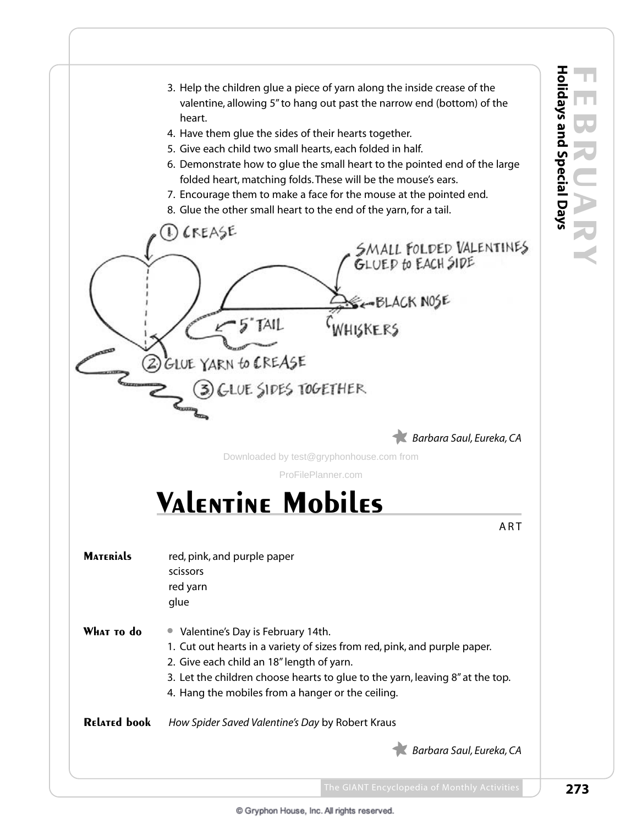